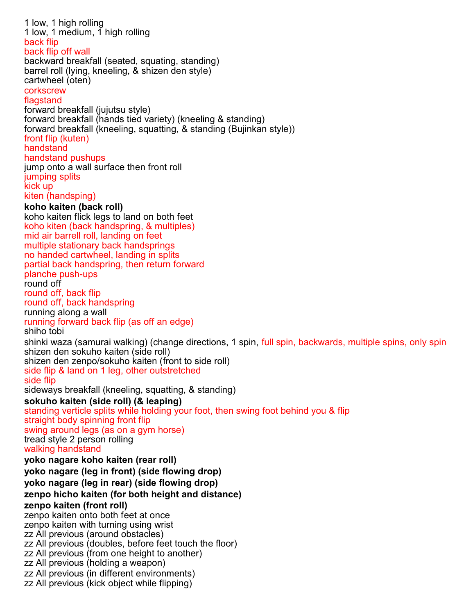1 low, 1 high rolling 1 low, 1 medium, 1 high rolling back flip back flip off wall backward breakfall (seated, squating, standing) barrel roll (lying, kneeling, & shizen den style) cartwheel (oten) corkscrew flagstand forward breakfall (jujutsu style) forward breakfall (hands tied variety) (kneeling & standing) forward breakfall (kneeling, squatting, & standing (Bujinkan style)) front flip (kuten) handstand handstand pushups jump onto a wall surface then front roll jumping splits kick up kiten (handsping) **koho kaiten (back roll)** koho kaiten flick legs to land on both feet koho kiten (back handspring, & multiples) mid air barrell roll, landing on feet multiple stationary back handsprings no handed cartwheel, landing in splits partial back handspring, then return forward planche push-ups round off round off, back flip round off, back handspring running along a wall running forward back flip (as off an edge) shiho tobi shinki waza (samurai walking) (change directions, 1 spin, full spin, backwards, multiple spins, only spins shizen den sokuho kaiten (side roll) shizen den zenpo/sokuho kaiten (front to side roll) side flip & land on 1 leg, other outstretched side flip sideways breakfall (kneeling, squatting, & standing) **sokuho kaiten (side roll) (& leaping)** standing verticle splits while holding your foot, then swing foot behind you & flip straight body spinning front flip swing around legs (as on a gym horse) tread style 2 person rolling walking handstand **yoko nagare koho kaiten (rear roll) yoko nagare (leg in front) (side flowing drop) yoko nagare (leg in rear) (side flowing drop) zenpo hicho kaiten (for both height and distance) zenpo kaiten (front roll)** zenpo kaiten onto both feet at once zenpo kaiten with turning using wrist zz All previous (around obstacles) zz All previous (doubles, before feet touch the floor) zz All previous (from one height to another) zz All previous (holding a weapon) zz All previous (in different environments) zz All previous (kick object while flipping)